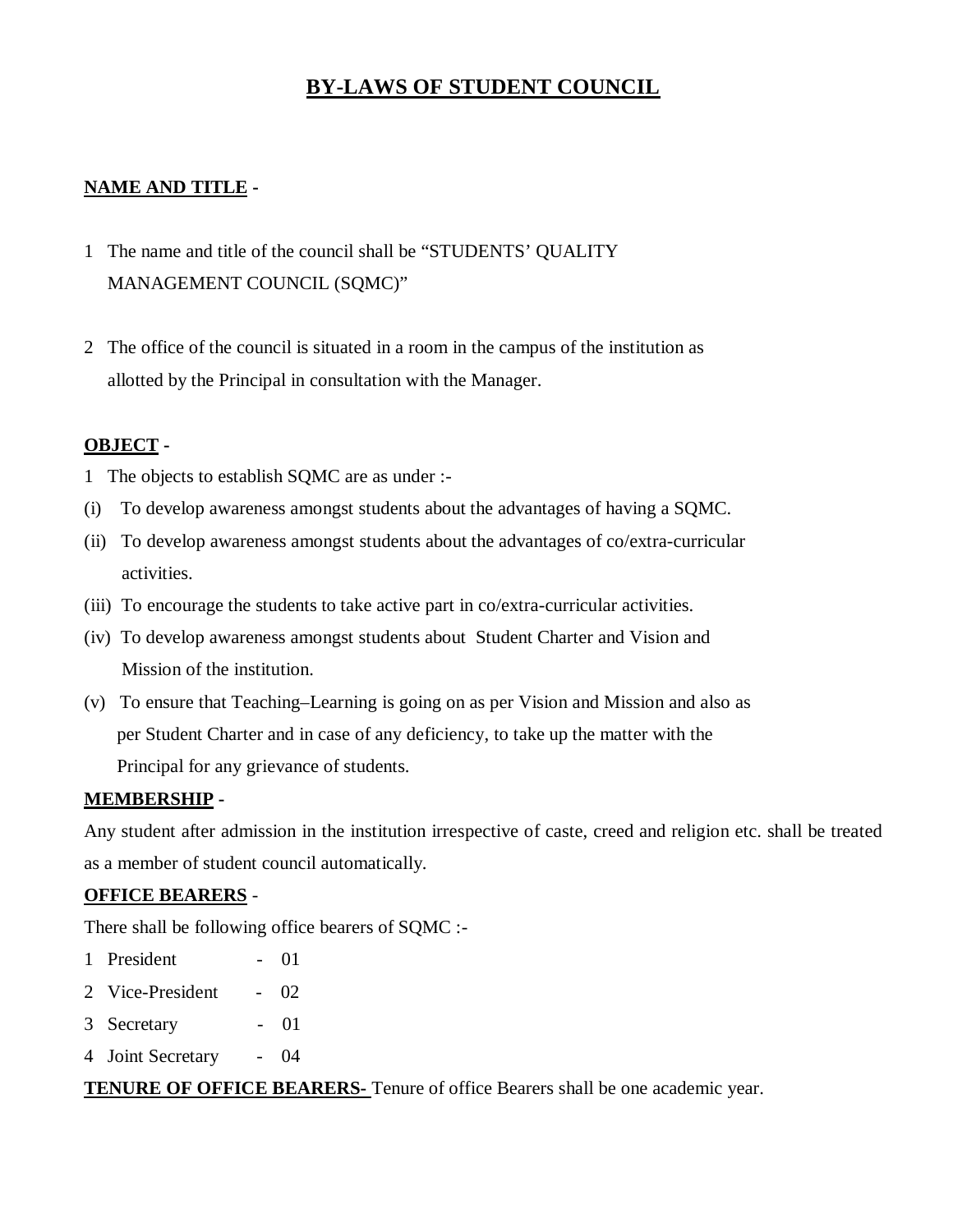# **BY-LAWS OF STUDENT COUNCIL**

## **NAME AND TITLE -**

- 1 The name and title of the council shall be "STUDENTS' QUALITY MANAGEMENT COUNCIL (SQMC)"
- 2 The office of the council is situated in a room in the campus of the institution as allotted by the Principal in consultation with the Manager.

### **OBJECT -**

- 1 The objects to establish SQMC are as under :-
- (i) To develop awareness amongst students about the advantages of having a SQMC.
- (ii) To develop awareness amongst students about the advantages of co/extra-curricular activities.
- (iii) To encourage the students to take active part in co/extra-curricular activities.
- (iv) To develop awareness amongst students about Student Charter and Vision and Mission of the institution.
- (v) To ensure that Teaching–Learning is going on as per Vision and Mission and also as per Student Charter and in case of any deficiency, to take up the matter with the Principal for any grievance of students.

### **MEMBERSHIP -**

Any student after admission in the institution irrespective of caste, creed and religion etc. shall be treated as a member of student council automatically.

### **OFFICE BEARERS** -

There shall be following office bearers of SQMC :-

- 1 President 01
- 2 Vice-President 02
- 3 Secretary 01
- 4 Joint Secretary 04

**TENURE OF OFFICE BEARERS-** Tenure of office Bearers shall be one academic year.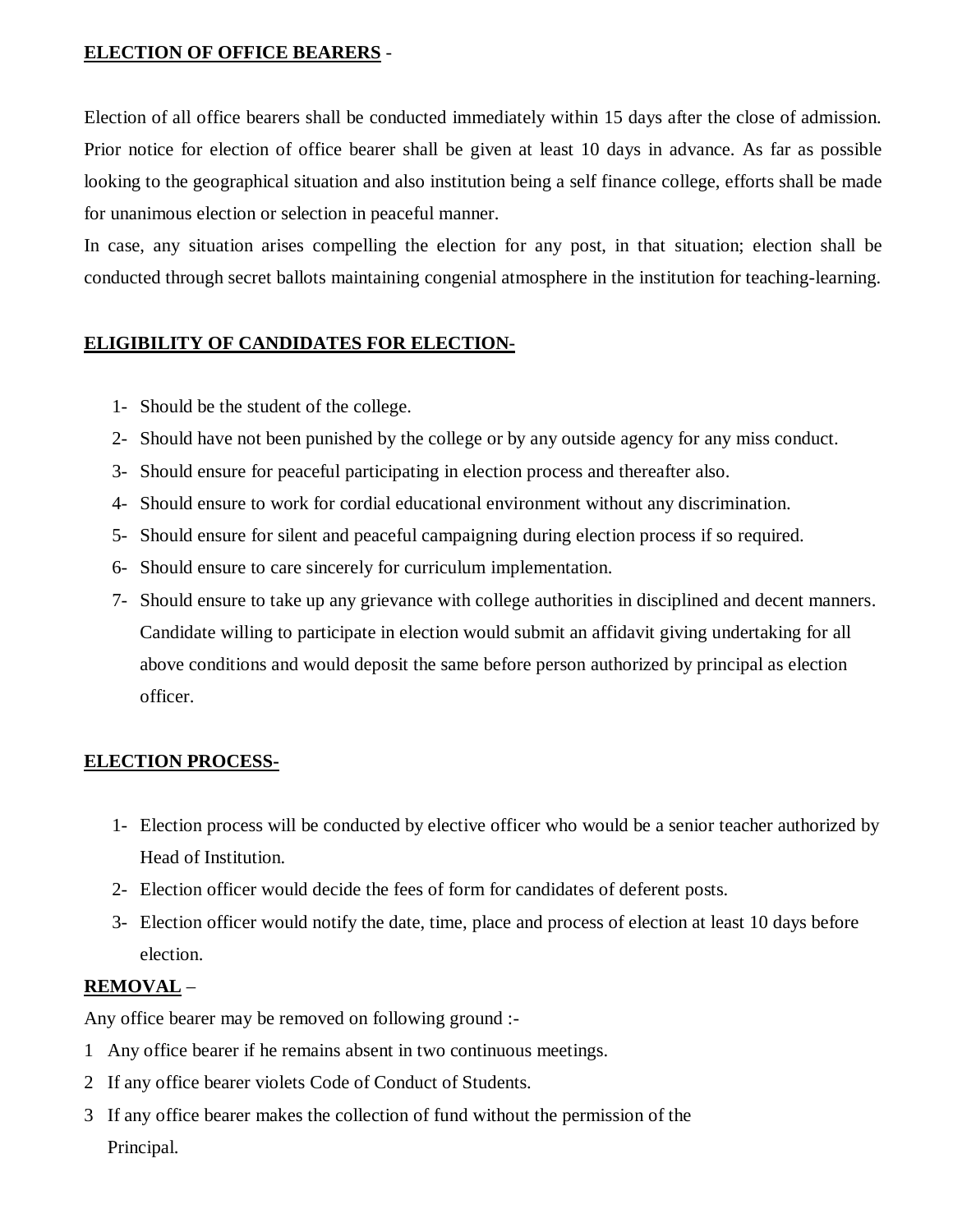## **ELECTION OF OFFICE BEARERS** -

Election of all office bearers shall be conducted immediately within 15 days after the close of admission. Prior notice for election of office bearer shall be given at least 10 days in advance. As far as possible looking to the geographical situation and also institution being a self finance college, efforts shall be made for unanimous election or selection in peaceful manner.

In case, any situation arises compelling the election for any post, in that situation; election shall be conducted through secret ballots maintaining congenial atmosphere in the institution for teaching-learning.

## **ELIGIBILITY OF CANDIDATES FOR ELECTION-**

- 1- Should be the student of the college.
- 2- Should have not been punished by the college or by any outside agency for any miss conduct.
- 3- Should ensure for peaceful participating in election process and thereafter also.
- 4- Should ensure to work for cordial educational environment without any discrimination.
- 5- Should ensure for silent and peaceful campaigning during election process if so required.
- 6- Should ensure to care sincerely for curriculum implementation.
- 7- Should ensure to take up any grievance with college authorities in disciplined and decent manners. Candidate willing to participate in election would submit an affidavit giving undertaking for all above conditions and would deposit the same before person authorized by principal as election officer.

### **ELECTION PROCESS-**

- 1- Election process will be conducted by elective officer who would be a senior teacher authorized by Head of Institution.
- 2- Election officer would decide the fees of form for candidates of deferent posts.
- 3- Election officer would notify the date, time, place and process of election at least 10 days before election.

## **REMOVAL** –

Any office bearer may be removed on following ground :-

- 1 Any office bearer if he remains absent in two continuous meetings.
- 2 If any office bearer violets Code of Conduct of Students.
- 3 If any office bearer makes the collection of fund without the permission of the Principal.